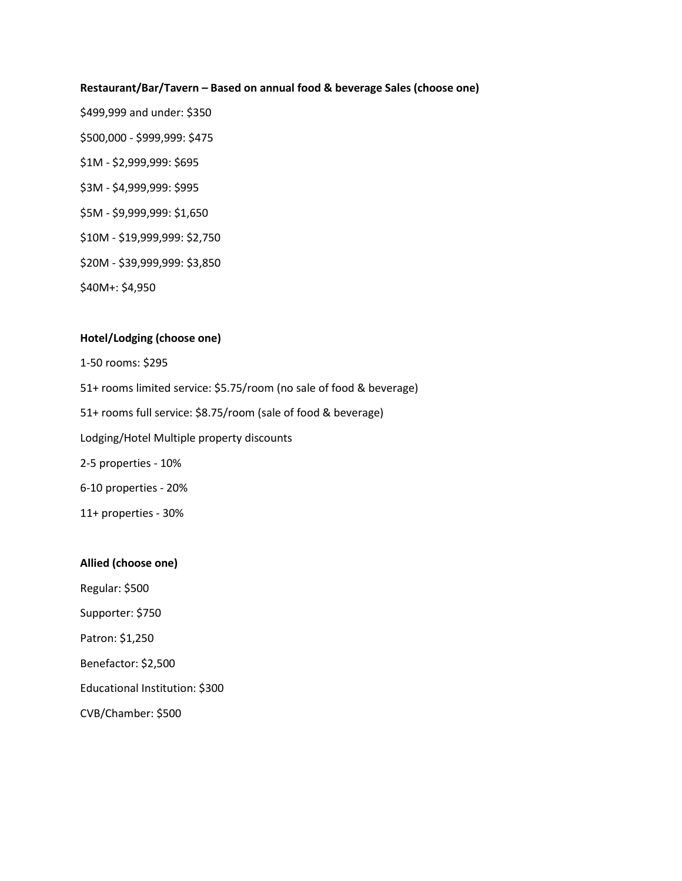#### **Restaurant/Bar/Tavern – Based on annual food & beverage Sales (choose one)**

\$499,999 and under: \$350 \$500,000 - \$999,999: \$475 \$1M - \$2,999,999: \$695 \$3M - \$4,999,999: \$995 \$5M - \$9,999,999: \$1,650 \$10M - \$19,999,999: \$2,750 \$20M - \$39,999,999: \$3,850 \$40M+: \$4,950

#### **Hotel/Lodging (choose one)**

1-50 rooms: \$295

51+ rooms limited service: \$5.75/room (no sale of food & beverage)

51+ rooms full service: \$8.75/room (sale of food & beverage)

Lodging/Hotel Multiple property discounts

2-5 properties - 10%

6-10 properties - 20%

11+ properties - 30%

#### **Allied (choose one)**

Regular: \$500

Supporter: \$750

Patron: \$1,250

Benefactor: \$2,500

Educational Institution: \$300

CVB/Chamber: \$500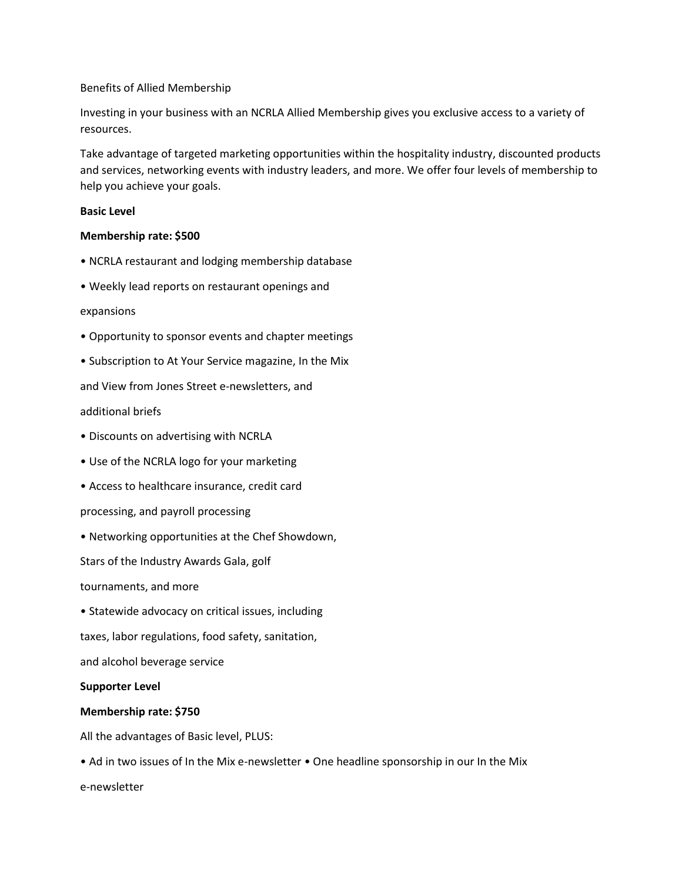# Benefits of Allied Membership

Investing in your business with an NCRLA Allied Membership gives you exclusive access to a variety of resources.

Take advantage of targeted marketing opportunities within the hospitality industry, discounted products and services, networking events with industry leaders, and more. We offer four levels of membership to help you achieve your goals.

# **Basic Level**

# **Membership rate: \$500**

- NCRLA restaurant and lodging membership database
- Weekly lead reports on restaurant openings and

#### expansions

- Opportunity to sponsor events and chapter meetings
- Subscription to At Your Service magazine, In the Mix

and View from Jones Street e-newsletters, and

# additional briefs

- Discounts on advertising with NCRLA
- Use of the NCRLA logo for your marketing
- Access to healthcare insurance, credit card
- processing, and payroll processing
- Networking opportunities at the Chef Showdown,

Stars of the Industry Awards Gala, golf

tournaments, and more

• Statewide advocacy on critical issues, including

taxes, labor regulations, food safety, sanitation,

and alcohol beverage service

#### **Supporter Level**

# **Membership rate: \$750**

All the advantages of Basic level, PLUS:

• Ad in two issues of In the Mix e-newsletter • One headline sponsorship in our In the Mix e-newsletter